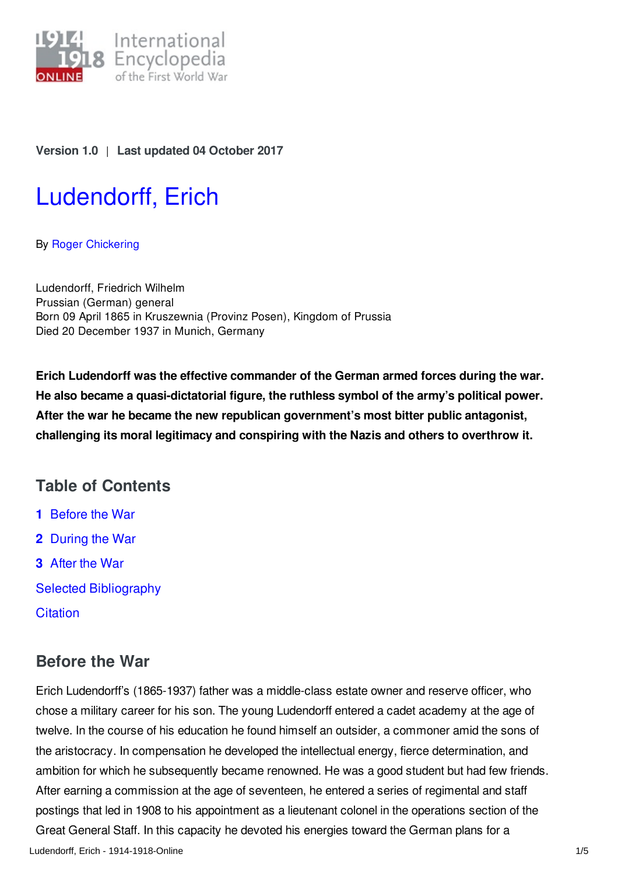

## **Version 1.0** | **Last updated 04 October 2017**

# [Ludendorff,](https://encyclopedia.1914-1918-online.net/article/ludendorff_erich) Erich

By Roger [Chickering](https://encyclopedia.1914-1918-online.net/contributors/Roger_Chickering)

Ludendorff, Friedrich Wilhelm Prussian (German) general Born 09 April 1865 in Kruszewnia (Provinz Posen), Kingdom of Prussia Died 20 December 1937 in Munich, Germany

**Erich Ludendorff was the effective commander of the German armed forces during the war. He also became a quasi-dictatorial figure, the ruthless symbol of the army's political power. After the war he became the new republican government's most bitter public antagonist, challenging its moral legitimacy and conspiring with the Nazis and others to overthrow it.**

# **Table of Contents**

- **1** [Before](#page-0-0) the War
- **2** [During](#page-1-0) the War
- **3** [After](#page-2-0) the War
- Selected [Bibliography](#page-3-0)
- **[Citation](#page-3-1)**

# <span id="page-0-0"></span>**Before the War**

Erich Ludendorff's (1865-1937) father was a middle-class estate owner and reserve officer, who chose a military career for his son. The young Ludendorff entered a cadet academy at the age of twelve. In the course of his education he found himself an outsider, a commoner amid the sons of the aristocracy. In compensation he developed the intellectual energy, fierce determination, and ambition for which he subsequently became renowned. He was a good student but had few friends. After earning a commission at the age of seventeen, he entered a series of regimental and staff postings that led in 1908 to his appointment as a lieutenant colonel in the operations section of the Great General Staff. In this capacity he devoted his energies toward the German plans for a Ludendorff, Erich - 1914-1918-Online 1/5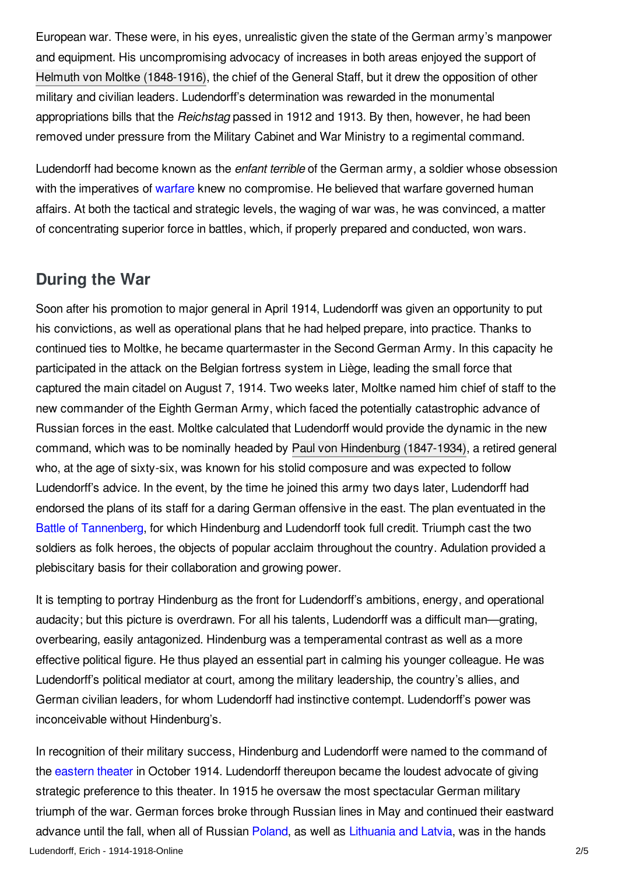European war. These were, in his eyes, unrealistic given the state of the German army's manpower and equipment. His uncompromising advocacy of increases in both areas enjoyed the support of Helmuth von Moltke [\(1848-1916\)](https://encyclopedia.1914-1918-online.net/index/names/118854801), the chief of the General Staff, but it drew the opposition of other military and civilian leaders. Ludendorff's determination was rewarded in the monumental appropriations bills that the *Reichstag* passed in 1912 and 1913. By then, however, he had been removed under pressure from the Military Cabinet and War Ministry to a regimental command.

Ludendorff had become known as the *enfant terrible* of the German army, a soldier whose obsession with the imperatives of [warfare](https://encyclopedia.1914-1918-online.net/article/warfare_1914-1918_germany) knew no compromise. He believed that warfare governed human affairs. At both the tactical and strategic levels, the waging of war was, he was convinced, a matter of concentrating superior force in battles, which, if properly prepared and conducted, won wars.

## <span id="page-1-0"></span>**During the War**

Soon after his promotion to major general in April 1914, Ludendorff was given an opportunity to put his convictions, as well as operational plans that he had helped prepare, into practice. Thanks to continued ties to Moltke, he became quartermaster in the Second German Army. In this capacity he participated in the attack on the Belgian fortress system in Liège, leading the small force that captured the main citadel on August 7, 1914. Two weeks later, Moltke named him chief of staff to the new commander of the Eighth German Army, which faced the potentially catastrophic advance of Russian forces in the east. Moltke calculated that Ludendorff would provide the dynamic in the new command, which was to be nominally headed by Paul von Hindenburg [\(1847-1934\)](https://encyclopedia.1914-1918-online.net/index/names/118551264), a retired general who, at the age of sixty-six, was known for his stolid composure and was expected to follow Ludendorff's advice. In the event, by the time he joined this army two days later, Ludendorff had endorsed the plans of its staff for a daring German offensive in the east. The plan eventuated in the Battle of [Tannenberg](https://encyclopedia.1914-1918-online.net/article/tannenberg_battle_of), for which Hindenburg and Ludendorff took full credit. Triumph cast the two soldiers as folk heroes, the objects of popular acclaim throughout the country. Adulation provided a plebiscitary basis for their collaboration and growing power.

It is tempting to portray Hindenburg as the front for Ludendorff's ambitions, energy, and operational audacity; but this picture is overdrawn. For all his talents, Ludendorff was a difficult man—grating, overbearing, easily antagonized. Hindenburg was a temperamental contrast as well as a more effective political figure. He thus played an essential part in calming his younger colleague. He was Ludendorff's political mediator at court, among the military leadership, the country's allies, and German civilian leaders, for whom Ludendorff had instinctive contempt. Ludendorff's power was inconceivable without Hindenburg's.

In recognition of their military success, Hindenburg and Ludendorff were named to the command of the [eastern](https://encyclopedia.1914-1918-online.net/article/eastern_front) theater in October 1914. Ludendorff thereupon became the loudest advocate of giving strategic preference to this theater. In 1915 he oversaw the most spectacular German military triumph of the war. German forces broke through Russian lines in May and continued their eastward advance until the fall, when all of Russian [Poland](https://encyclopedia.1914-1918-online.net/article/poland), as well as [Lithuania](https://encyclopedia.1914-1918-online.net/article/baltic_states_and_finland) and Latvia, was in the hands Ludendorff, Erich - 1914-1918-Online 2/5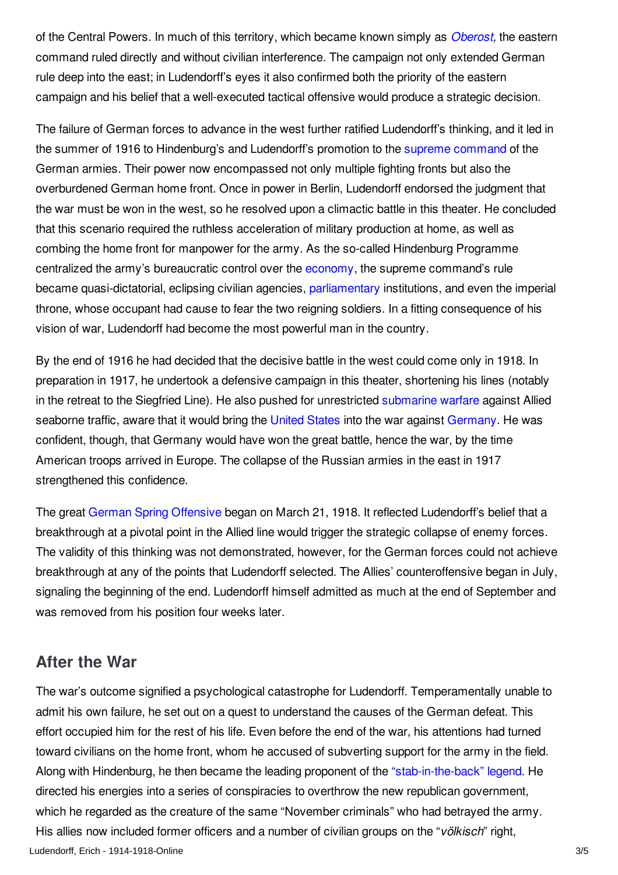of the Central Powers. In much of this territory, which became known simply as *[Oberost](https://encyclopedia.1914-1918-online.net/article/ober_ost),* the eastern command ruled directly and without civilian interference. The campaign not only extended German rule deep into the east; in Ludendorff's eyes it also confirmed both the priority of the eastern campaign and his belief that a well-executed tactical offensive would produce a strategic decision.

The failure of German forces to advance in the west further ratified Ludendorff's thinking, and it led in the summer of 1916 to Hindenburg's and Ludendorff's promotion to the supreme [command](https://encyclopedia.1914-1918-online.net/article/oberste_heeresleitung_ohl) of the German armies. Their power now encompassed not only multiple fighting fronts but also the overburdened German home front. Once in power in Berlin, Ludendorff endorsed the judgment that the war must be won in the west, so he resolved upon a climactic battle in this theater. He concluded that this scenario required the ruthless acceleration of military production at home, as well as combing the home front for manpower for the army. As the so-called Hindenburg Programme centralized the army's bureaucratic control over the [economy](https://encyclopedia.1914-1918-online.net/article/organization_of_war_economies_germany), the supreme command's rule became quasi-dictatorial, eclipsing civilian agencies, [parliamentary](https://encyclopedia.1914-1918-online.net/article/governments_parliaments_and_parties_germany) institutions, and even the imperial throne, whose occupant had cause to fear the two reigning soldiers. In a fitting consequence of his vision of war, Ludendorff had become the most powerful man in the country.

By the end of 1916 he had decided that the decisive battle in the west could come only in 1918. In preparation in 1917, he undertook a defensive campaign in this theater, shortening his lines (notably in the retreat to the Siegfried Line). He also pushed for unrestricted [submarine](https://encyclopedia.1914-1918-online.net/article/submarines_and_submarine_warfare) warfare against Allied seaborne traffic, aware that it would bring the [United](https://encyclopedia.1914-1918-online.net/article/united_states_of_america) States into the war against [Germany](https://encyclopedia.1914-1918-online.net/article/germany). He was confident, though, that Germany would have won the great battle, hence the war, by the time American troops arrived in Europe. The collapse of the Russian armies in the east in 1917 strengthened this confidence.

The great German Spring [Offensive](https://encyclopedia.1914-1918-online.net/article/german_spring_offensives_1918) began on March 21, 1918. It reflected Ludendorff's belief that a breakthrough at a pivotal point in the Allied line would trigger the strategic collapse of enemy forces. The validity of this thinking was not demonstrated, however, for the German forces could not achieve breakthrough at any of the points that Ludendorff selected. The Allies' counteroffensive began in July, signaling the beginning of the end. Ludendorff himself admitted as much at the end of September and was removed from his position four weeks later.

## <span id="page-2-0"></span>**After the War**

The war's outcome signified a psychological catastrophe for Ludendorff. Temperamentally unable to admit his own failure, he set out on a quest to understand the causes of the German defeat. This effort occupied him for the rest of his life. Even before the end of the war, his attentions had turned toward civilians on the home front, whom he accused of subverting support for the army in the field. Along with Hindenburg, he then became the leading proponent of the ["stab-in-the-back"](https://encyclopedia.1914-1918-online.net/article/stab-in-the-back_myth) legend. He directed his energies into a series of conspiracies to overthrow the new republican government, which he regarded as the creature of the same "November criminals" who had betrayed the army. His allies now included former officers and a number of civilian groups on the "*völkisch*" right, Ludendorff, Erich - 1914-1918-Online 3/5